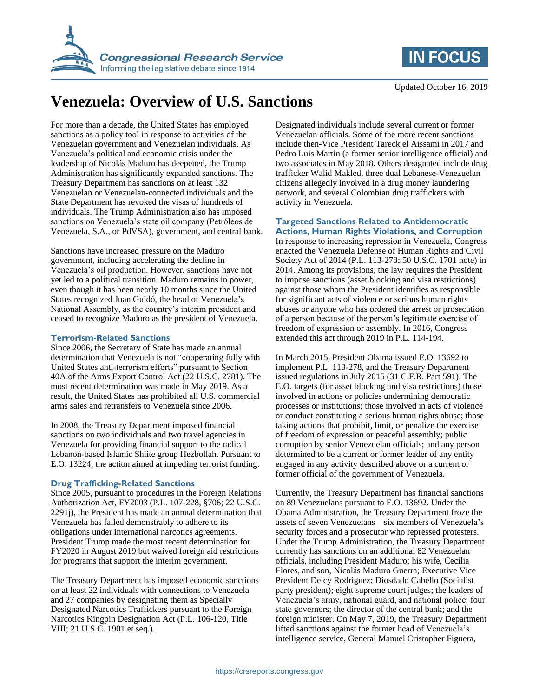



Updated October 16, 2019

# **Venezuela: Overview of U.S. Sanctions**

For more than a decade, the United States has employed sanctions as a policy tool in response to activities of the Venezuelan government and Venezuelan individuals. As Venezuela's political and economic crisis under the leadership of Nicolás Maduro has deepened, the Trump Administration has significantly expanded sanctions. The Treasury Department has sanctions on at least 132 Venezuelan or Venezuelan-connected individuals and the State Department has revoked the visas of hundreds of individuals. The Trump Administration also has imposed sanctions on Venezuela's state oil company (Petróleos de Venezuela, S.A., or PdVSA), government, and central bank.

Sanctions have increased pressure on the Maduro government, including accelerating the decline in Venezuela's oil production. However, sanctions have not yet led to a political transition. Maduro remains in power, even though it has been nearly 10 months since the United States recognized Juan Guidó, the head of Venezuela's National Assembly, as the country's interim president and ceased to recognize Maduro as the president of Venezuela.

# **Terrorism-Related Sanctions**

Since 2006, the Secretary of State has made an annual determination that Venezuela is not "cooperating fully with United States anti-terrorism efforts" pursuant to Section 40A of the Arms Export Control Act (22 U.S.C. 2781). The most recent determination was made in May 2019. As a result, the United States has prohibited all U.S. commercial arms sales and retransfers to Venezuela since 2006.

In 2008, the Treasury Department imposed financial sanctions on two individuals and two travel agencies in Venezuela for providing financial support to the radical Lebanon-based Islamic Shiite group Hezbollah. Pursuant to E.O. 13224, the action aimed at impeding terrorist funding.

# **Drug Trafficking-Related Sanctions**

Since 2005, pursuant to procedures in the Foreign Relations Authorization Act, FY2003 (P.L. 107-228, §706; 22 U.S.C. 2291j), the President has made an annual determination that Venezuela has failed demonstrably to adhere to its obligations under international narcotics agreements. President Trump made the most recent determination for FY2020 in August 2019 but waived foreign aid restrictions for programs that support the interim government.

The Treasury Department has imposed economic sanctions on at least 22 individuals with connections to Venezuela and 27 companies by designating them as Specially Designated Narcotics Traffickers pursuant to the Foreign Narcotics Kingpin Designation Act (P.L. 106-120, Title VIII; 21 U.S.C. 1901 et seq.).

Designated individuals include several current or former Venezuelan officials. Some of the more recent sanctions include then-Vice President Tareck el Aissami in 2017 and Pedro Luis Martin (a former senior intelligence official) and two associates in May 2018. Others designated include drug trafficker Walid Makled, three dual Lebanese-Venezuelan citizens allegedly involved in a drug money laundering network, and several Colombian drug traffickers with activity in Venezuela.

#### **Targeted Sanctions Related to Antidemocratic Actions, Human Rights Violations, and Corruption**

In response to increasing repression in Venezuela, Congress enacted the Venezuela Defense of Human Rights and Civil Society Act of 2014 (P.L. 113-278; 50 U.S.C. 1701 note) in 2014. Among its provisions, the law requires the President to impose sanctions (asset blocking and visa restrictions) against those whom the President identifies as responsible for significant acts of violence or serious human rights abuses or anyone who has ordered the arrest or prosecution of a person because of the person's legitimate exercise of freedom of expression or assembly. In 2016, Congress extended this act through 2019 in P.L. 114-194.

In March 2015, President Obama issued E.O. 13692 to implement P.L. 113-278, and the Treasury Department issued regulations in July 2015 (31 C.F.R. Part 591). The E.O. targets (for asset blocking and visa restrictions) those involved in actions or policies undermining democratic processes or institutions; those involved in acts of violence or conduct constituting a serious human rights abuse; those taking actions that prohibit, limit, or penalize the exercise of freedom of expression or peaceful assembly; public corruption by senior Venezuelan officials; and any person determined to be a current or former leader of any entity engaged in any activity described above or a current or former official of the government of Venezuela.

Currently, the Treasury Department has financial sanctions on 89 Venezuelans pursuant to E.O. 13692. Under the Obama Administration, the Treasury Department froze the assets of seven Venezuelans—six members of Venezuela's security forces and a prosecutor who repressed protesters. Under the Trump Administration, the Treasury Department currently has sanctions on an additional 82 Venezuelan officials, including President Maduro; his wife, Cecilia Flores, and son, Nicolás Maduro Guerra; Executive Vice President Delcy Rodriguez; Diosdado Cabello (Socialist party president); eight supreme court judges; the leaders of Venezuela's army, national guard, and national police; four state governors; the director of the central bank; and the foreign minister. On May 7, 2019, the Treasury Department lifted sanctions against the former head of Venezuela's intelligence service, General Manuel Cristopher Figuera,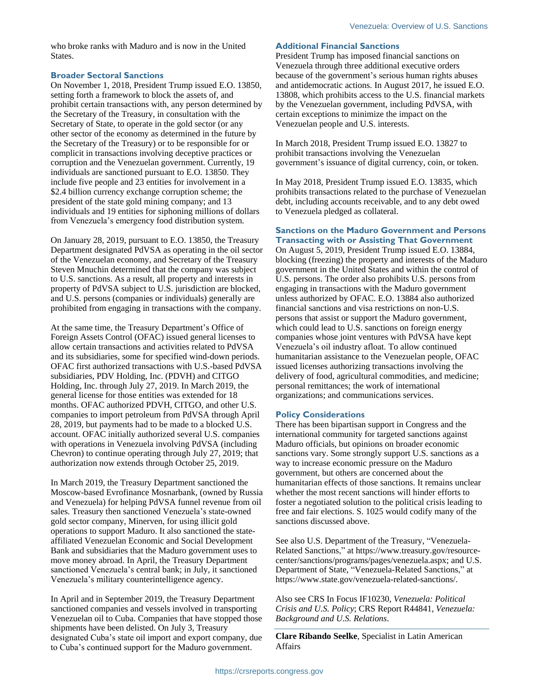who broke ranks with Maduro and is now in the United States.

#### **Broader Sectoral Sanctions**

On November 1, 2018, President Trump issued E.O. 13850, setting forth a framework to block the assets of, and prohibit certain transactions with, any person determined by the Secretary of the Treasury, in consultation with the Secretary of State, to operate in the gold sector (or any other sector of the economy as determined in the future by the Secretary of the Treasury) or to be responsible for or complicit in transactions involving deceptive practices or corruption and the Venezuelan government. Currently, 19 individuals are sanctioned pursuant to E.O. 13850. They include five people and 23 entities for involvement in a \$2.4 billion currency exchange corruption scheme; the president of the state gold mining company; and 13 individuals and 19 entities for siphoning millions of dollars from Venezuela's emergency food distribution system.

On January 28, 2019, pursuant to E.O. 13850, the Treasury Department designated PdVSA as operating in the oil sector of the Venezuelan economy, and Secretary of the Treasury Steven Mnuchin determined that the company was subject to U.S. sanctions. As a result, all property and interests in property of PdVSA subject to U.S. jurisdiction are blocked, and U.S. persons (companies or individuals) generally are prohibited from engaging in transactions with the company.

At the same time, the Treasury Department's Office of Foreign Assets Control (OFAC) issued general licenses to allow certain transactions and activities related to PdVSA and its subsidiaries, some for specified wind-down periods. OFAC first authorized transactions with U.S.-based PdVSA subsidiaries, PDV Holding, Inc. (PDVH) and CITGO Holding, Inc. through July 27, 2019. In March 2019, the general license for those entities was extended for 18 months. OFAC authorized PDVH, CITGO, and other U.S. companies to import petroleum from PdVSA through April 28, 2019, but payments had to be made to a blocked U.S. account. OFAC initially authorized several U.S. companies with operations in Venezuela involving PdVSA (including Chevron) to continue operating through July 27, 2019; that authorization now extends through October 25, 2019.

In March 2019, the Treasury Department sanctioned the Moscow-based Evrofinance Mosnarbank, (owned by Russia and Venezuela) for helping PdVSA funnel revenue from oil sales. Treasury then sanctioned Venezuela's state-owned gold sector company, Minerven, for using illicit gold operations to support Maduro. It also sanctioned the stateaffiliated Venezuelan Economic and Social Development Bank and subsidiaries that the Maduro government uses to move money abroad. In April, the Treasury Department sanctioned Venezuela's central bank; in July, it sanctioned Venezuela's military counterintelligence agency.

In April and in September 2019, the Treasury Department sanctioned companies and vessels involved in transporting Venezuelan oil to Cuba. Companies that have stopped those shipments have been delisted. On July 3, Treasury designated Cuba's state oil import and export company, due to Cuba's continued support for the Maduro government.

#### **Additional Financial Sanctions**

President Trump has imposed financial sanctions on Venezuela through three additional executive orders because of the government's serious human rights abuses and antidemocratic actions. In August 2017, he issued E.O. 13808, which prohibits access to the U.S. financial markets by the Venezuelan government, including PdVSA, with certain exceptions to minimize the impact on the Venezuelan people and U.S. interests.

In March 2018, President Trump issued E.O. 13827 to prohibit transactions involving the Venezuelan government's issuance of digital currency, coin, or token.

In May 2018, President Trump issued E.O. 13835, which prohibits transactions related to the purchase of Venezuelan debt, including accounts receivable, and to any debt owed to Venezuela pledged as collateral.

#### **Sanctions on the Maduro Government and Persons Transacting with or Assisting That Government**

On August 5, 2019, President Trump issued E.O. 13884, blocking (freezing) the property and interests of the Maduro government in the United States and within the control of U.S. persons. The order also prohibits U.S. persons from engaging in transactions with the Maduro government unless authorized by OFAC. E.O. 13884 also authorized financial sanctions and visa restrictions on non-U.S. persons that assist or support the Maduro government, which could lead to U.S. sanctions on foreign energy companies whose joint ventures with PdVSA have kept Venezuela's oil industry afloat. To allow continued humanitarian assistance to the Venezuelan people, OFAC issued licenses authorizing transactions involving the delivery of food, agricultural commodities, and medicine; personal remittances; the work of international organizations; and communications services.

# **Policy Considerations**

There has been bipartisan support in Congress and the international community for targeted sanctions against Maduro officials, but opinions on broader economic sanctions vary. Some strongly support U.S. sanctions as a way to increase economic pressure on the Maduro government, but others are concerned about the humanitarian effects of those sanctions. It remains unclear whether the most recent sanctions will hinder efforts to foster a negotiated solution to the political crisis leading to free and fair elections. S. 1025 would codify many of the sanctions discussed above.

See also U.S. Department of the Treasury, "Venezuela-Related Sanctions," at https://www.treasury.gov/resourcecenter/sanctions/programs/pages/venezuela.aspx; and U.S. Department of State, "Venezuela-Related Sanctions," at https://www.state.gov/venezuela-related-sanctions/.

Also see CRS In Focus IF10230, *Venezuela: Political Crisis and U.S. Policy*; CRS Report R44841, *Venezuela: Background and U.S. Relations*.

**Clare Ribando Seelke**, Specialist in Latin American Affairs